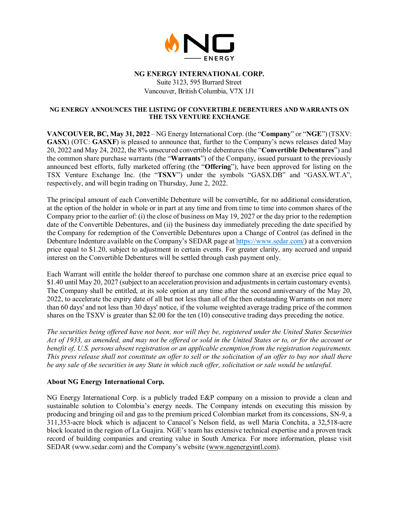

# **NG ENERGY INTERNATIONAL CORP.**

Suite 3123, 595 Burrard Street Vancouver, British Columbia, V7X 1J1

### **NG ENERGY ANNOUNCES THE LISTING OF CONVERTIBLE DEBENTURES AND WARRANTS ON THE TSX VENTURE EXCHANGE**

**VANCOUVER, BC, May 31, 2022** – NG Energy International Corp. (the "**Company**" or "**NGE**") (TSXV: **GASX**) (OTC: **GASXF**) is pleased to announce that, further to the Company's news releases dated May 20, 2022 and May 24, 2022, the 8% unsecured convertible debentures (the "**Convertible Debentures**") and the common share purchase warrants (the "**Warrants**") of the Company, issued pursuant to the previously announced best efforts, fully marketed offering (the "**Offering**"), have been approved for listing on the TSX Venture Exchange Inc. (the "**TSXV**") under the symbols "GASX.DB" and "GASX.WT.A", respectively, and will begin trading on Thursday, June 2, 2022.

The principal amount of each Convertible Debenture will be convertible, for no additional consideration, at the option of the holder in whole or in part at any time and from time to time into common shares of the Company prior to the earlier of: (i) the close of business on May 19, 2027 or the day prior to the redemption date of the Convertible Debentures, and (ii) the business day immediately preceding the date specified by the Company for redemption of the Convertible Debentures upon a Change of Control (as defined in the Debenture Indenture available on the Company's SEDAR page at [https://www.sedar.com/\)](https://www.sedar.com/) at a conversion price equal to \$1.20, subject to adjustment in certain events. For greater clarity, any accrued and unpaid interest on the Convertible Debentures will be settled through cash payment only.

Each Warrant will entitle the holder thereof to purchase one common share at an exercise price equal to \$1.40 until May 20, 2027 (subject to an acceleration provision and adjustments in certain customary events). The Company shall be entitled, at its sole option at any time after the second anniversary of the May 20, 2022, to accelerate the expiry date of all but not less than all of the then outstanding Warrants on not more than 60 days' and not less than 30 days' notice, if the volume weighted average trading price of the common shares on the TSXV is greater than \$2.00 for the ten (10) consecutive trading days preceding the notice.

*The securities being offered have not been, nor will they be, registered under the United States Securities Act of 1933, as amended, and may not be offered or sold in the United States or to, or for the account or benefit of, U.S. persons absent registration or an applicable exemption from the registration requirements. This press release shall not constitute an offer to sell or the solicitation of an offer to buy nor shall there be any sale of the securities in any State in which such offer, solicitation or sale would be unlawful.*

## **About NG Energy International Corp.**

NG Energy International Corp. is a publicly traded E&P company on a mission to provide a clean and sustainable solution to Colombia's energy needs. The Company intends on executing this mission by producing and bringing oil and gas to the premium priced Colombian market from its concessions, SN-9, a 311,353-acre block which is adjacent to Canacol's Nelson field, as well Maria Conchita, a 32,518-acre block located in the region of La Guajira. NGE's team has extensive technical expertise and a proven track record of building companies and creating value in South America. For more information, please visit SEDAR (www.sedar.com) and the Company's website [\(www.ngenergyintl.com\)](http://www.ngenergyintl.com/).